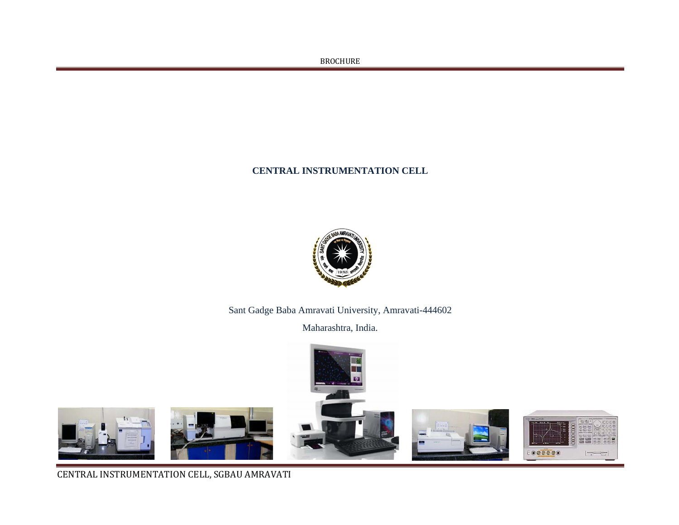# **CENTRAL INSTRUMENTATION CELL**



Sant Gadge Baba Amravati University, Amravati-444602

Maharashtra, India.



**CENTRAL INSTRUMENTATION CELL, SGBAU AMRAVATI**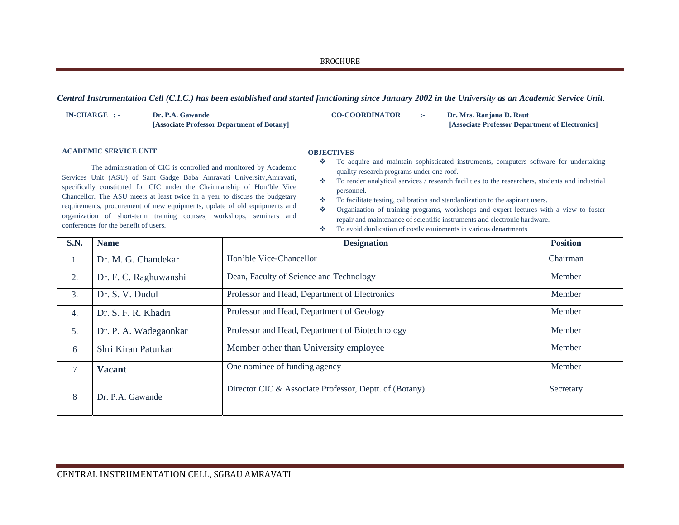*Central Instrumentation Cell (C.I.C.) has been established and started functioning since January 2002 in the University as an Academic Service Unit***.** 

| IN-CHARGE : - | Dr. P.A. Gawande                           | <b>CO-COORDINATOR</b> | Dr. Mrs. Raniana D. Raut                        |
|---------------|--------------------------------------------|-----------------------|-------------------------------------------------|
|               | [Associate Professor Department of Botany] |                       | [Associate Professor Department of Electronics] |

## **ACADEMIC SERVICE UNIT**

## **OBJECTIVES**

 The administration of CIC is controlled and monitored by Academic Services Unit (ASU) of Sant Gadge Baba Amravati University,Amravati, specifically constituted for CIC under the Chairmanship of Hon'ble Vice Chancellor. The ASU meets at least twice in a year to discuss the budgetary requirements, procurement of new equipments, update of old equipments and organization of short-term training courses, workshops, seminars and conferences for the benefit of users.

- To acquire and maintain sophisticated instruments, computers software for undertaking quality research programs under one roof.
- $\sigma_{\rm eff}^{\rm th}$  To render analytical services / research facilities to the researchers, students and industrial personnel.
- $\sigma_{\rm eff}^{\rm th}$ To facilitate testing, calibration and standardization to the aspirant users.
- $\mathcal{L}_{\mathcal{C}}$  Organization of training programs, workshops and expert lectures with a view to foster repair and maintenance of scientific instruments and electronic hardware.
- 壘 To avoid duplication of costly equipments in various departments

| <b>S.N.</b> | <b>Name</b>           | <b>Designation</b>                                     | <b>Position</b> |
|-------------|-----------------------|--------------------------------------------------------|-----------------|
| 1.          | Dr. M. G. Chandekar   | Hon'ble Vice-Chancellor                                | Chairman        |
| 2.          | Dr. F. C. Raghuwanshi | Dean, Faculty of Science and Technology                | Member          |
| 3.          | Dr. S. V. Dudul       | Professor and Head, Department of Electronics          | Member          |
| 4.          | Dr. S. F. R. Khadri   | Professor and Head, Department of Geology              | Member          |
| 5.          | Dr. P. A. Wadegaonkar | Professor and Head, Department of Biotechnology        | Member          |
| 6           | Shri Kiran Paturkar   | Member other than University employee                  | Member          |
| 7           | <b>Vacant</b>         | One nominee of funding agency                          | Member          |
| 8           | Dr. P.A. Gawande      | Director CIC & Associate Professor, Deptt. of (Botany) | Secretary       |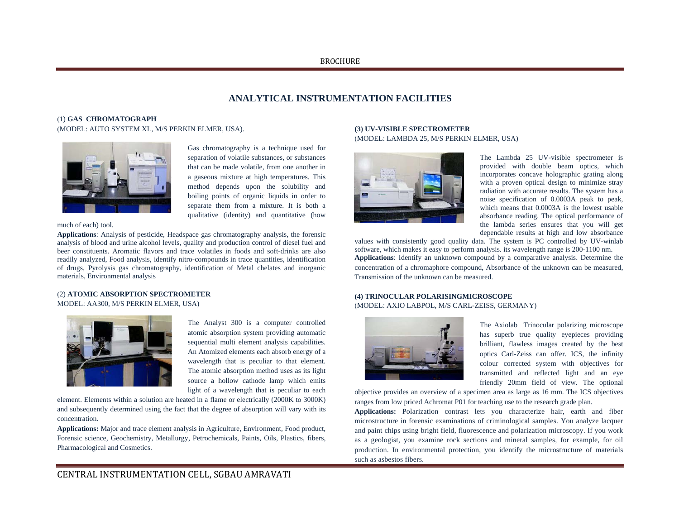# **ANALYTICAL INSTRUMENTATION FACILITIES**

# (1) **GAS CHROMATOGRAPH**

# (MODEL: AUTO SYSTEM XL, M/S PERKIN ELMER, USA).



Gas chromatography is a technique used for separation of volatile substances, or substances that can be made volatile, from one another in a gaseous mixture at high temperatures. This method depends upon the solubility and boiling points of organic liquids in order to separate them from a mixture. It is both a qualitative (identity) and quantitative (how

#### much of each) tool.

**Applications**: Analysis of pesticide, Headspace gas chromatography analysis, the forensic analysis of blood and urine alcohol levels, quality and production control of diesel fuel and beer constituents. Aromatic flavors and trace volatiles in foods and soft-drinks are also readily analyzed, Food analysis, identify nitro-compounds in trace quantities, identification of drugs, Pyrolysis gas chromatography, identification of Metal chelates and inorganic materials, Environmental analysis

### (2) **ATOMIC ABSORPTION SPECTROMETER** MODEL: AA300, M/S PERKIN ELMER, USA)



The Analyst 300 is a computer controlled atomic absorption system providing automatic sequential multi element analysis capabilities. An Atomized elements each absorb energy of a wavelength that is peculiar to that element. The atomic absorption method uses as its light source a hollow cathode lamp which emits light of a wavelength that is peculiar to each

element. Elements within a solution are heated in a flame or electrically (2000K to 3000K) and subsequently determined using the fact that the degree of absorption will vary with its concentration.

**Applications:** Major and trace element analysis in Agriculture, Environment, Food product, Forensic science, Geochemistry, Metallurgy, Petrochemicals, Paints, Oils, Plastics, fibers, Pharmacological and Cosmetics.

## **(3) UV-VISIBLE SPECTROMETER**  (MODEL: LAMBDA 25, M/S PERKIN ELMER, USA)



The Lambda 25 UV-visible spectrometer is provided with double beam optics, which incorporates concave holographic grating along with a proven optical design to minimize stray radiation with accurate results. The system has a noise specification of 0.0003A peak to peak, which means that 0.0003A is the lowest usable absorbance reading. The optical performance of the lambda series ensures that you will get dependable results at high and low absorbance

values with consistently good quality data. The system is PC controlled by UV-winlab software, which makes it easy to perform analysis. its wavelength range is 200-1100 nm. **Applications**: Identify an unknown compound by a comparative analysis. Determine the concentration of a chromaphore compound, Absorbance of the unknown can be measured, Transmission of the unknown can be measured.

# **(4) TRINOCULAR POLARISINGMICROSCOPE**  (MODEL: AXIO LABPOL, M/S CARL-ZEISS, GERMANY)



The Axiolab Trinocular polarizing microscope has superb true quality eyepieces providing brilliant, flawless images created by the best optics Carl-Zeiss can offer. ICS, the infinity colour corrected system with objectives for transmitted and reflected light and an eye friendly 20mm field of view. The optional

objective provides an overview of a specimen area as large as 16 mm. The ICS objectives ranges from low priced Achromat P01 for teaching use to the research grade plan.

**Applications:** Polarization contrast lets you characterize hair, earth and fiber microstructure in forensic examinations of criminological samples. You analyze lacquer and paint chips using bright field, fluorescence and polarization microscopy. If you work as a geologist, you examine rock sections and mineral samples, for example, for oil production. In environmental protection, you identify the microstructure of materials such as asbestos fibers.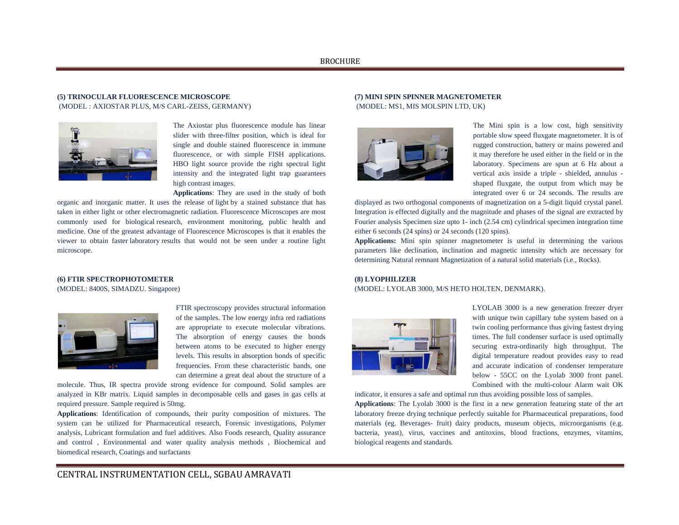# **(5) TRINOCULAR FLUORESCENCE MICROSCOPE**  (MODEL : AXIOSTAR PLUS, M/S CARL-ZEISS, GERMANY)



The Axiostar plus fluorescence module has linear slider with three-filter position, which is ideal for single and double stained fluorescence in immune fluorescence, or with simple FISH applications. HBO light source provide the right spectral light intensity and the integrated light trap guarantees high contrast images.

**Applications**: They are used in the study of both

organic and inorganic matter. It uses the release of light by a stained substance that has taken in either light or other electromagnetic radiation. Fluorescence Microscopes are most commonly used for biological research, environment monitoring, public health and medicine. One of the greatest advantage of Fluorescence Microscopes is that it enables the viewer to obtain faster laboratory results that would not be seen under a routine light microscope.

## **(7) MINI SPIN SPINNER MAGNETOMETER**  (MODEL: MS1, MIS MOLSPIN LTD, UK)



The Mini spin is a low cost, high sensitivity portable slow speed fluxgate magnetometer. It is of rugged construction, battery or mains powered and it may therefore be used either in the field or in the laboratory. Specimens are spun at 6 Hz about a vertical axis inside a triple - shielded, annulus shaped fluxgate, the output from which may be integrated over 6 or 24 seconds. The results are

displayed as two orthogonal components of magnetization on a 5-digit liquid crystal panel. Integration is effected digitally and the magnitude and phases of the signal are extracted by Fourier analysis Specimen size upto 1- inch (2.54 cm) cylindrical specimen integration time either 6 seconds (24 spins) or 24 seconds (120 spins).

**Applications:** Mini spin spinner magnetometer is useful in determining the various parameters like declination, inclination and magnetic intensity which are necessary for determining Natural remnant Magnetization of a natural solid materials (i.e., Rocks).

#### **(6) FTIR SPECTROPHOTOMETER**

(MODEL: 8400S, SIMADZU. Singapore)



FTIR spectroscopy provides structural information of the samples. The low energy infra red radiations are appropriate to execute molecular vibrations. The absorption of energy causes the bonds between atoms to be executed to higher energy levels. This results in absorption bonds of specific frequencies. From these characteristic bands, one can determine a great deal about the structure of a

molecule. Thus, IR spectra provide strong evidence for compound. Solid samples are analyzed in KBr matrix. Liquid samples in decomposable cells and gases in gas cells at required pressure. Sample required is 50mg.

**Applications**: Identification of compounds, their purity composition of mixtures. The system can be utilized for Pharmaceutical research, Forensic investigations, Polymer analysis, Lubricant formulation and fuel additives. Also Foods research, Quality assurance and control , Environmental and water quality analysis methods , Biochemical and biomedical research, Coatings and surfactants

# **(8) LYOPHILIZER**

(MODEL: LYOLAB 3000, M/S HETO HOLTEN, DENMARK).



LYOLAB 3000 is a new generation freezer dryer with unique twin capillary tube system based on a twin cooling performance thus giving fastest drying times. The full condenser surface is used optimally securing extra-ordinarily high throughput. The digital temperature readout provides easy to read and accurate indication of condenser temperature below - 55CC on the Lyolab 3000 front panel. Combined with the multi-colour Alarm wait OK

indicator, it ensures a safe and optimal run thus avoiding possible loss of samples.

**Applications**: The Lyolab 3000 is the first in a new generation featuring state of the art laboratory freeze drying technique perfectly suitable for Pharmaceutical preparations, food materials (eg. Beverages- fruit) dairy products, museum objects, microorganisms (e.g. bacteria, yeast), virus, vaccines and antitoxins, blood fractions, enzymes, vitamins, biological reagents and standards.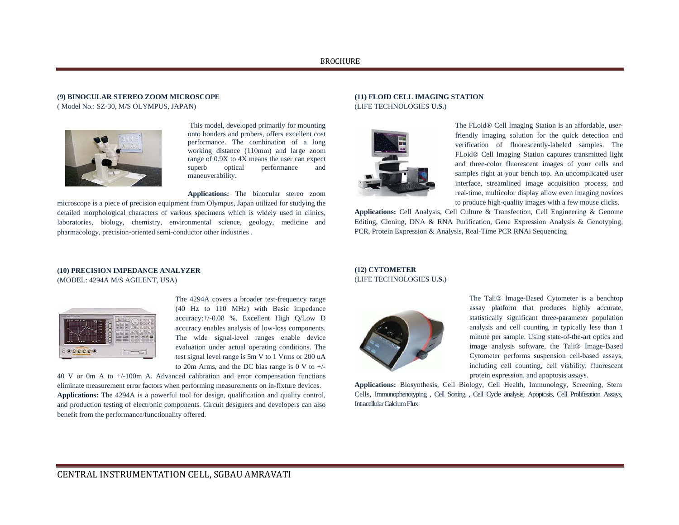# **(9) BINOCULAR STEREO ZOOM MICROSCOPE**  ( Model No.: SZ-30, M/S OLYMPUS, JAPAN)



 This model, developed primarily for mounting onto bonders and probers, offers excellent cost performance. The combination of a long working distance (110mm) and large zoom range of 0.9X to 4X means the user can expect superb optical performance and maneuverability.

**Applications:** The binocular stereo zoom

microscope is a piece of precision equipment from Olympus, Japan utilized for studying the detailed morphological characters of various specimens which is widely used in clinics, laboratories, biology, chemistry, environmental science, geology, medicine and pharmacology, precision-oriented semi-conductor other industries .

#### **(11) FLOID CELL IMAGING STATION**  (LIFE TECHNOLOGIES **U.S.**)



The FLoid® Cell Imaging Station is an affordable, userfriendly imaging solution for the quick detection and verification of fluorescently-labeled samples. The FLoid® Cell Imaging Station captures transmitted light and three-color fluorescent images of your cells and samples right at your bench top. An uncomplicated user interface, streamlined image acquisition process, and real-time, multicolor display allow even imaging novices to produce high-quality images with a few mouse clicks.

**Applications:** Cell Analysis, Cell Culture & Transfection, Cell Engineering & Genome Editing, Cloning, DNA & RNA Purification, Gene Expression Analysis & Genotyping, PCR, Protein Expression & Analysis, Real-Time PCR RNAi Sequencing

## **(10) PRECISION IMPEDANCE ANALYZER**  (MODEL: 4294A M/S AGILENT, USA)



The 4294A covers a broader test-frequency range (40 Hz to 110 MHz) with Basic impedance accuracy:+/-0.08 %. Excellent High Q/Low D accuracy enables analysis of low-loss components. The wide signal-level ranges enable device evaluation under actual operating conditions. The test signal level range is 5m V to 1 Vrms or 200 uA to 20m Arms, and the DC bias range is 0 V to  $+/-$ 

40 V or 0m A to +/-100m A. Advanced calibration and error compensation functions eliminate measurement error factors when performing measurements on in-fixture devices. **Applications:** The 4294A is a powerful tool for design, qualification and quality control, and production testing of electronic components. Circuit designers and developers can also benefit from the performance/functionality offered.

## **(12) CYTOMETER**  (LIFE TECHNOLOGIES **U.S.**)



The Tali® Image-Based Cytometer is a benchtop assay platform that produces highly accurate, statistically significant three-parameter population analysis and cell counting in typically less than 1 minute per sample. Using state-of-the-art optics and image analysis software, the Tali® Image-Based Cytometer performs suspension cell-based assays, including cell counting, cell viability, fluorescent protein expression, and apoptosis assays.

**Applications:** Biosynthesis, Cell Biology, Cell Health, Immunology, Screening, Stem Cells, Immunophenotyping , Cell Sorting , Cell Cycle analysis, Apoptosis, Cell Proliferation Assays, Intracellular Calcium Flux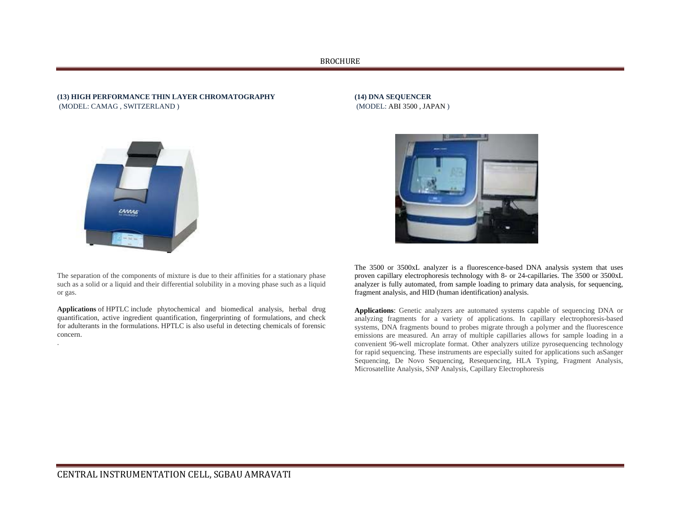### **(13) HIGH PERFORMANCE THIN LAYER CHROMATOGRAPHY**  (MODEL: CAMAG , SWITZERLAND )



.

The separation of the components of mixture is due to their affinities for a stationary phase such as a solid or a liquid and their differential solubility in a moving phase such as a liquid or gas.

**Applications** of HPTLC include phytochemical and biomedical analysis, herbal drug quantification, active ingredient quantification, fingerprinting of formulations, and check for adulterants in the formulations. HPTLC is also useful in detecting chemicals of forensic concern.

**(14) DNA SEQUENCER**  (MODEL: ABI 3500 , JAPAN )



The 3500 or 3500xL analyzer is a fluorescence-based DNA analysis system that uses proven capillary electrophoresis technology with 8- or 24-capillaries. The 3500 or 3500xL analyzer is fully automated, from sample loading to primary data analysis, for sequencing, fragment analysis, and HID (human identification) analysis.

**Applications**: Genetic analyzers are automated systems capable of sequencing DNA or analyzing fragments for a variety of applications. In capillary electrophoresis-based systems, DNA fragments bound to probes migrate through a polymer and the fluorescence emissions are measured. An array of multiple capillaries allows for sample loading in a convenient 96-well microplate format. Other analyzers utilize pyrosequencing technology for rapid sequencing. These instruments are especially suited for applications such asSanger Sequencing, De Novo Sequencing, Resequencing, HLA Typing, Fragment Analysis, Microsatellite Analysis, SNP Analysis, Capillary Electrophoresis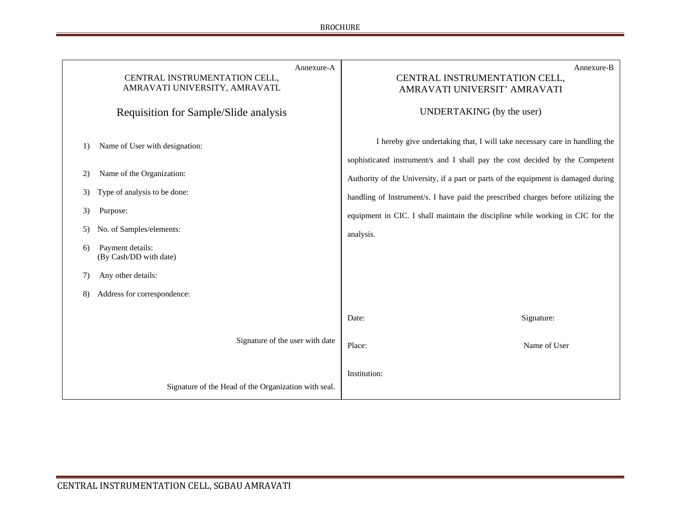| Annexure-A<br>CENTRAL INSTRUMENTATION CELL,<br>AMRAVATI UNIVERSITY, AMRAVATL<br>Requisition for Sample/Slide analysis | Annexure-B<br>CENTRAL INSTRUMENTATION CELL,<br>AMRAVATI UNIVERSIT' AMRAVATI<br>UNDERTAKING (by the user)                                                   |
|-----------------------------------------------------------------------------------------------------------------------|------------------------------------------------------------------------------------------------------------------------------------------------------------|
| Name of User with designation:<br>1)                                                                                  | I hereby give undertaking that, I will take necessary care in handling the<br>sophisticated instrument/s and I shall pay the cost decided by the Competent |
| Name of the Organization:<br>2)                                                                                       | Authority of the University, if a part or parts of the equipment is damaged during                                                                         |
| Type of analysis to be done:<br>3)                                                                                    | handling of Instrument/s. I have paid the prescribed charges before utilizing the                                                                          |
| 3)<br>Purpose:                                                                                                        | equipment in CIC. I shall maintain the discipline while working in CIC for the                                                                             |
| No. of Samples/elements:<br>5)                                                                                        | analysis.                                                                                                                                                  |
| Payment details:<br>6)<br>(By Cash/DD with date)                                                                      |                                                                                                                                                            |
| Any other details:<br>7)                                                                                              |                                                                                                                                                            |
| Address for correspondence:<br>8)                                                                                     |                                                                                                                                                            |
|                                                                                                                       | Signature:<br>Date:                                                                                                                                        |
| Signature of the user with date                                                                                       | Name of User<br>Place:                                                                                                                                     |
|                                                                                                                       | Institution:                                                                                                                                               |
| Signature of the Head of the Organization with seal.                                                                  |                                                                                                                                                            |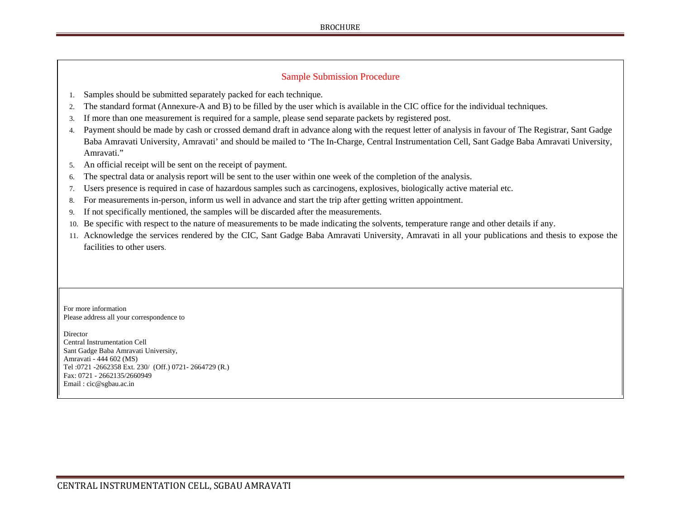# Sample Submission Procedure

- 1. Samples should be submitted separately packed for each technique.
- 2. The standard format (Annexure-A and B) to be filled by the user which is available in the CIC office for the individual techniques.
- 3. If more than one measurement is required for a sample, please send separate packets by registered post.
- 4. Payment should be made by cash or crossed demand draft in advance along with the request letter of analysis in favour of The Registrar, Sant Gadge Baba Amravati University, Amravati' and should be mailed to 'The In-Charge, Central Instrumentation Cell, Sant Gadge Baba Amravati University, Amravati."
- 5. An official receipt will be sent on the receipt of payment.
- 6.The spectral data or analysis report will be sent to the user within one week of the completion of the analysis.
- 7. Users presence is required in case of hazardous samples such as carcinogens, explosives, biologically active material etc.
- 8. For measurements in-person, inform us well in advance and start the trip after getting written appointment.
- 9. If not specifically mentioned, the samples will be discarded after the measurements.
- 10. Be specific with respect to the nature of measurements to be made indicating the solvents, temperature range and other details if any.
- 11. Acknowledge the services rendered by the CIC, Sant Gadge Baba Amravati University, Amravati in all your publications and thesis to expose the facilities to other users.

For more information Please address all your correspondence to

**Director** Central Instrumentation Cell Sant Gadge Baba Amravati University, Amravati - 444 602 (MS) Tel :0721 -2662358 Ext. 230/ (Off.) 0721- 2664729 (R.) Fax: 0721 - 2662135/2660949 Email : cic@sgbau.ac.in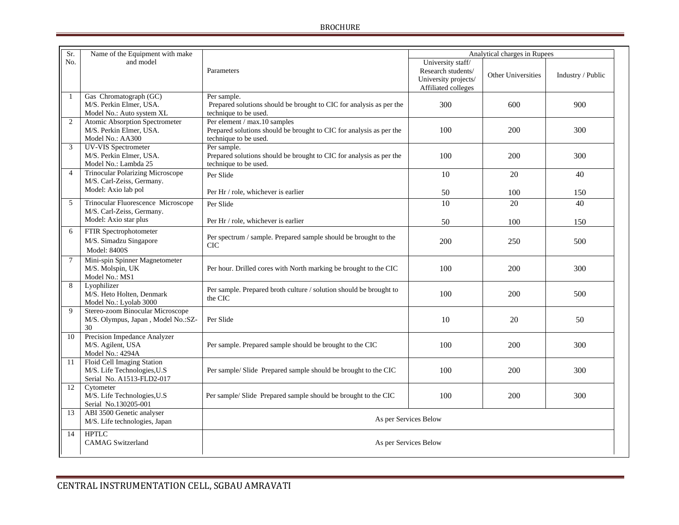| Sr.            | Name of the Equipment with make                                                         |                                                                                                                              | Analytical charges in Rupees                                                           |                    |                   |
|----------------|-----------------------------------------------------------------------------------------|------------------------------------------------------------------------------------------------------------------------------|----------------------------------------------------------------------------------------|--------------------|-------------------|
| No.            | and model                                                                               | Parameters                                                                                                                   | University staff/<br>Research students/<br>University projects/<br>Affiliated colleges | Other Universities | Industry / Public |
| $\mathbf{1}$   | Gas Chromatograph (GC)<br>M/S. Perkin Elmer, USA.<br>Model No.: Auto system XL          | Per sample.<br>Prepared solutions should be brought to CIC for analysis as per the<br>technique to be used.                  | 300                                                                                    | 600                | 900               |
| $\overline{2}$ | Atomic Absorption Spectrometer<br>M/S. Perkin Elmer, USA.<br>Model No.: AA300           | Per element / max.10 samples<br>Prepared solutions should be brought to CIC for analysis as per the<br>technique to be used. | 100                                                                                    | 200                | 300               |
| 3              | <b>UV-VIS</b> Spectrometer<br>M/S. Perkin Elmer, USA.<br>Model No.: Lambda 25           | Per sample.<br>Prepared solutions should be brought to CIC for analysis as per the<br>technique to be used.                  | 100                                                                                    | 200                | 300               |
| $\overline{4}$ | <b>Trinocular Polarizing Microscope</b><br>M/S. Carl-Zeiss, Germany.                    | Per Slide                                                                                                                    | 10                                                                                     | 20                 | 40                |
|                | Model: Axio lab pol                                                                     | Per Hr / role, whichever is earlier                                                                                          | 50                                                                                     | 100                | 150               |
| 5              | Trinocular Fluorescence Microscope<br>M/S. Carl-Zeiss, Germany.                         | Per Slide                                                                                                                    | 10                                                                                     | 20                 | 40                |
|                | Model: Axio star plus                                                                   | Per Hr / role, whichever is earlier                                                                                          | 50                                                                                     | 100                | 150               |
| 6              | FTIR Spectrophotometer<br>M/S. Simadzu Singapore<br>Model: 8400S                        | Per spectrum / sample. Prepared sample should be brought to the<br><b>CIC</b>                                                | 200                                                                                    | 250                | 500               |
| $\overline{7}$ | Mini-spin Spinner Magnetometer<br>M/S. Molspin, UK<br>Model No.: MS1                    | Per hour. Drilled cores with North marking be brought to the CIC                                                             | 100                                                                                    | 200                | 300               |
| 8              | Lyophilizer<br>M/S. Heto Holten, Denmark<br>Model No.: Lyolab 3000                      | Per sample. Prepared broth culture / solution should be brought to<br>the CIC                                                | 100                                                                                    | 200                | 500               |
| $\mathbf{Q}$   | Stereo-zoom Binocular Microscope<br>M/S. Olympus, Japan, Model No.:SZ-<br>30            | Per Slide                                                                                                                    | 10                                                                                     | 20                 | 50                |
| 10             | Precision Impedance Analyzer<br>M/S. Agilent, USA<br>Model No.: 4294A                   | Per sample. Prepared sample should be brought to the CIC                                                                     | 100                                                                                    | 200                | 300               |
| 11             | Floid Cell Imaging Station<br>M/S. Life Technologies, U.S.<br>Serial No. A1513-FLD2-017 | Per sample/ Slide Prepared sample should be brought to the CIC                                                               | 100                                                                                    | 200                | 300               |
| 12             | Cytometer<br>M/S. Life Technologies, U.S.<br>Serial No.130205-001                       | Per sample/ Slide Prepared sample should be brought to the CIC                                                               | 100                                                                                    | 200                | 300               |
| 13             | ABI 3500 Genetic analyser<br>M/S. Life technologies, Japan                              | As per Services Below                                                                                                        |                                                                                        |                    |                   |
| 14             | <b>HPTLC</b><br><b>CAMAG</b> Switzerland                                                | As per Services Below                                                                                                        |                                                                                        |                    |                   |